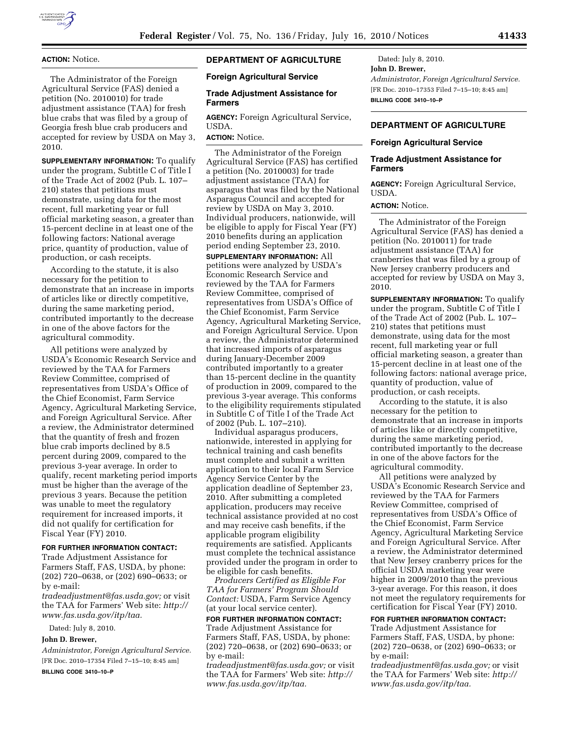

## **ACTION:** Notice.

The Administrator of the Foreign Agricultural Service (FAS) denied a petition (No. 2010010) for trade adjustment assistance (TAA) for fresh blue crabs that was filed by a group of Georgia fresh blue crab producers and accepted for review by USDA on May 3, 2010.

**SUPPLEMENTARY INFORMATION:** To qualify under the program, Subtitle C of Title I of the Trade Act of 2002 (Pub. L. 107– 210) states that petitions must demonstrate, using data for the most recent, full marketing year or full official marketing season, a greater than 15-percent decline in at least one of the following factors: National average price, quantity of production, value of production, or cash receipts.

According to the statute, it is also necessary for the petition to demonstrate that an increase in imports of articles like or directly competitive, during the same marketing period, contributed importantly to the decrease in one of the above factors for the agricultural commodity.

All petitions were analyzed by USDA's Economic Research Service and reviewed by the TAA for Farmers Review Committee, comprised of representatives from USDA's Office of the Chief Economist, Farm Service Agency, Agricultural Marketing Service, and Foreign Agricultural Service. After a review, the Administrator determined that the quantity of fresh and frozen blue crab imports declined by 8.5 percent during 2009, compared to the previous 3-year average. In order to qualify, recent marketing period imports must be higher than the average of the previous 3 years. Because the petition was unable to meet the regulatory requirement for increased imports, it did not qualify for certification for Fiscal Year (FY) 2010.

### **FOR FURTHER INFORMATION CONTACT:**

Trade Adjustment Assistance for Farmers Staff, FAS, USDA, by phone: (202) 720–0638, or (202) 690–0633; or by e-mail:

*tradeadjustment@fas.usda.gov;* or visit the TAA for Farmers' Web site: *http:// www.fas.usda.gov/itp/taa.* 

Dated: July 8, 2010.

### **John D. Brewer,**

*Administrator, Foreign Agricultural Service.*  [FR Doc. 2010–17354 Filed 7–15–10; 8:45 am]

### **BILLING CODE 3410–10–P**

## **DEPARTMENT OF AGRICULTURE**

### **Foreign Agricultural Service**

#### **Trade Adjustment Assistance for Farmers**

**AGENCY:** Foreign Agricultural Service, USDA.

# **ACTION:** Notice.

The Administrator of the Foreign Agricultural Service (FAS) has certified a petition (No. 2010003) for trade adjustment assistance (TAA) for asparagus that was filed by the National Asparagus Council and accepted for review by USDA on May 3, 2010. Individual producers, nationwide, will be eligible to apply for Fiscal Year (FY) 2010 benefits during an application period ending September 23, 2010.

**SUPPLEMENTARY INFORMATION:** All petitions were analyzed by USDA's Economic Research Service and reviewed by the TAA for Farmers Review Committee, comprised of representatives from USDA's Office of the Chief Economist, Farm Service Agency, Agricultural Marketing Service, and Foreign Agricultural Service. Upon a review, the Administrator determined that increased imports of asparagus during January-December 2009 contributed importantly to a greater than 15-percent decline in the quantity of production in 2009, compared to the previous 3-year average. This conforms to the eligibility requirements stipulated in Subtitle C of Title I of the Trade Act of 2002 (Pub. L. 107–210).

Individual asparagus producers, nationwide, interested in applying for technical training and cash benefits must complete and submit a written application to their local Farm Service Agency Service Center by the application deadline of September 23, 2010. After submitting a completed application, producers may receive technical assistance provided at no cost and may receive cash benefits, if the applicable program eligibility requirements are satisfied. Applicants must complete the technical assistance provided under the program in order to be eligible for cash benefits.

*Producers Certified as Eligible For TAA for Farmers' Program Should Contact:* USDA, Farm Service Agency (at your local service center).

## **FOR FURTHER INFORMATION CONTACT:**

Trade Adjustment Assistance for Farmers Staff, FAS, USDA, by phone: (202) 720–0638, or (202) 690–0633; or by e-mail:

*tradeadjustment@fas.usda.gov;* or visit the TAA for Farmers' Web site: *http:// www.fas.usda.gov/itp/taa.* 

Dated: July 8, 2010. **John D. Brewer,**  *Administrator, Foreign Agricultural Service.*  [FR Doc. 2010–17353 Filed 7–15–10; 8:45 am] **BILLING CODE 3410–10–P** 

## **DEPARTMENT OF AGRICULTURE**

#### **Foreign Agricultural Service**

## **Trade Adjustment Assistance for Farmers**

**AGENCY:** Foreign Agricultural Service, USDA.

## **ACTION:** Notice.

The Administrator of the Foreign Agricultural Service (FAS) has denied a petition (No. 2010011) for trade adjustment assistance (TAA) for cranberries that was filed by a group of New Jersey cranberry producers and accepted for review by USDA on May 3, 2010.

**SUPPLEMENTARY INFORMATION:** To qualify under the program, Subtitle C of Title I of the Trade Act of 2002 (Pub. L. 107– 210) states that petitions must demonstrate, using data for the most recent, full marketing year or full official marketing season, a greater than 15-percent decline in at least one of the following factors: national average price, quantity of production, value of production, or cash receipts.

According to the statute, it is also necessary for the petition to demonstrate that an increase in imports of articles like or directly competitive, during the same marketing period, contributed importantly to the decrease in one of the above factors for the agricultural commodity.

All petitions were analyzed by USDA's Economic Research Service and reviewed by the TAA for Farmers Review Committee, comprised of representatives from USDA's Office of the Chief Economist, Farm Service Agency, Agricultural Marketing Service and Foreign Agricultural Service. After a review, the Administrator determined that New Jersey cranberry prices for the official USDA marketing year were higher in 2009/2010 than the previous 3-year average. For this reason, it does not meet the regulatory requirements for certification for Fiscal Year (FY) 2010.

## **FOR FURTHER INFORMATION CONTACT:**

Trade Adjustment Assistance for Farmers Staff, FAS, USDA, by phone: (202) 720–0638, or (202) 690–0633; or by e-mail:

*tradeadjustment@fas.usda.gov;* or visit the TAA for Farmers' Web site: *http:// www.fas.usda.gov/itp/taa.*